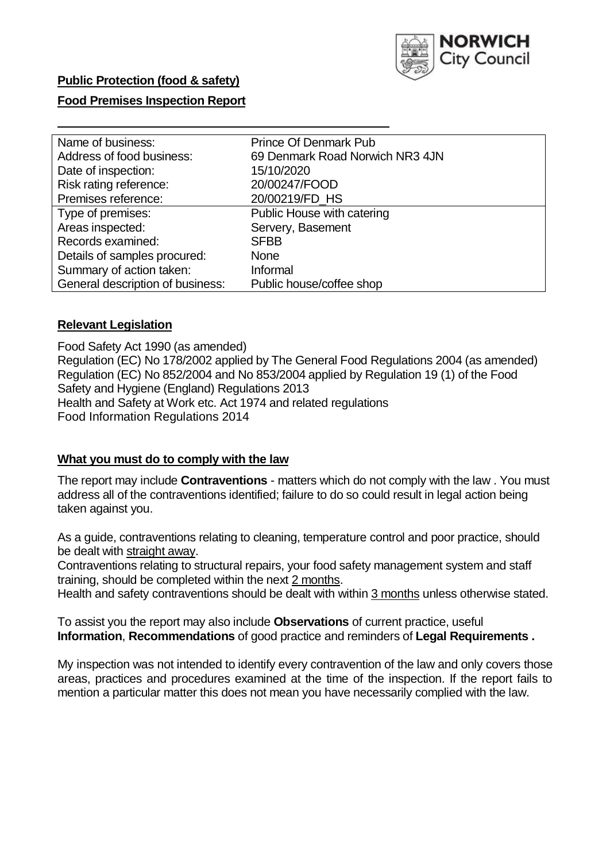

# **Public Protection (food & safety)**

# **Food Premises Inspection Report**

| Name of business:                | <b>Prince Of Denmark Pub</b>    |
|----------------------------------|---------------------------------|
| Address of food business:        | 69 Denmark Road Norwich NR3 4JN |
| Date of inspection:              | 15/10/2020                      |
| Risk rating reference:           | 20/00247/FOOD                   |
| Premises reference:              | 20/00219/FD HS                  |
| Type of premises:                | Public House with catering      |
| Areas inspected:                 | Servery, Basement               |
| Records examined:                | <b>SFBB</b>                     |
| Details of samples procured:     | <b>None</b>                     |
| Summary of action taken:         | Informal                        |
| General description of business: | Public house/coffee shop        |

# **Relevant Legislation**

 Food Safety Act 1990 (as amended) Regulation (EC) No 178/2002 applied by The General Food Regulations 2004 (as amended) Regulation (EC) No 852/2004 and No 853/2004 applied by Regulation 19 (1) of the Food Safety and Hygiene (England) Regulations 2013 Health and Safety at Work etc. Act 1974 and related regulations Food Information Regulations 2014

#### **What you must do to comply with the law**

 The report may include **Contraventions** - matters which do not comply with the law . You must address all of the contraventions identified; failure to do so could result in legal action being taken against you.

 As a guide, contraventions relating to cleaning, temperature control and poor practice, should be dealt with straight away.

 Contraventions relating to structural repairs, your food safety management system and staff training, should be completed within the next 2 months.

Health and safety contraventions should be dealt with within 3 months unless otherwise stated.

 To assist you the report may also include **Observations** of current practice, useful **Information**, **Recommendations** of good practice and reminders of **Legal Requirements .** 

 My inspection was not intended to identify every contravention of the law and only covers those areas, practices and procedures examined at the time of the inspection. If the report fails to mention a particular matter this does not mean you have necessarily complied with the law.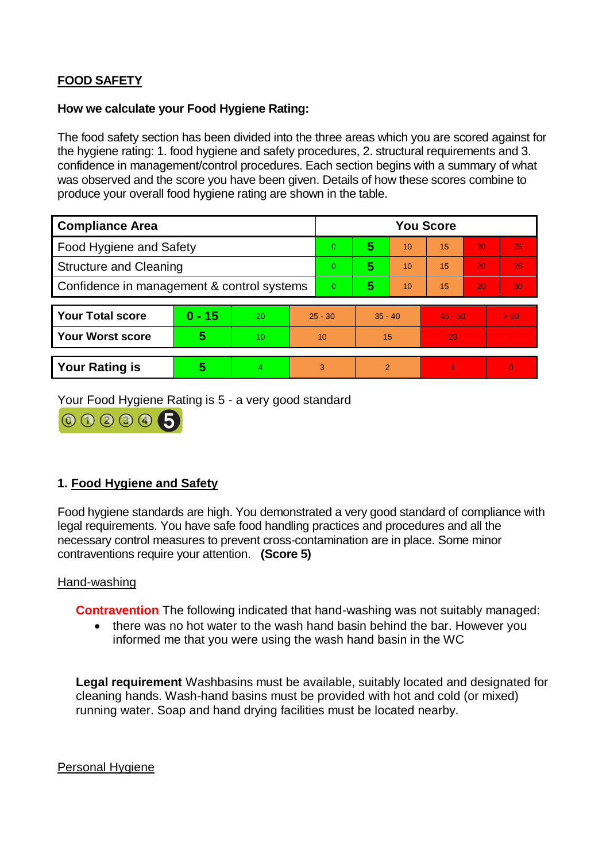# **FOOD SAFETY**

# **How we calculate your Food Hygiene Rating:**

 The food safety section has been divided into the three areas which you are scored against for the hygiene rating: 1. food hygiene and safety procedures, 2. structural requirements and 3. confidence in management/control procedures. Each section begins with a summary of what was observed and the score you have been given. Details of how these scores combine to produce your overall food hygiene rating are shown in the table.

| <b>Compliance Area</b>                     |          |    |           | <b>You Score</b> |                |    |                 |    |          |  |  |
|--------------------------------------------|----------|----|-----------|------------------|----------------|----|-----------------|----|----------|--|--|
| Food Hygiene and Safety                    |          |    |           | $\overline{0}$   | 5              | 10 | $\overline{15}$ | 20 | 25       |  |  |
| <b>Structure and Cleaning</b>              |          |    | $\Omega$  | 5                | 10             | 15 | 20              | 25 |          |  |  |
| Confidence in management & control systems |          |    | $\Omega$  | 5                | 10             | 15 | 20              | 30 |          |  |  |
|                                            |          |    |           |                  |                |    |                 |    |          |  |  |
| <b>Your Total score</b>                    | $0 - 15$ | 20 | $25 - 30$ |                  | $35 - 40$      |    | $45 - 50$       |    | > 50     |  |  |
| <b>Your Worst score</b>                    | 5        | 10 | 10        |                  | 15             |    | 20              |    |          |  |  |
|                                            |          |    |           |                  |                |    |                 |    |          |  |  |
| <b>Your Rating is</b>                      | 5        | 4  |           | 3                | $\overline{2}$ |    |                 |    | $\Omega$ |  |  |

Your Food Hygiene Rating is 5 - a very good standard



# **1. Food Hygiene and Safety**

 Food hygiene standards are high. You demonstrated a very good standard of compliance with legal requirements. You have safe food handling practices and procedures and all the necessary control measures to prevent cross-contamination are in place. Some minor contraventions require your attention. **(Score 5)** 

# Hand-washing

**Contravention** The following indicated that hand-washing was not suitably managed:

 informed me that you were using the wash hand basin in the WC • there was no hot water to the wash hand basin behind the bar. However you

**Legal requirement** Washbasins must be available, suitably located and designated for cleaning hands. Wash-hand basins must be provided with hot and cold (or mixed) running water. Soap and hand drying facilities must be located nearby.

Personal Hygiene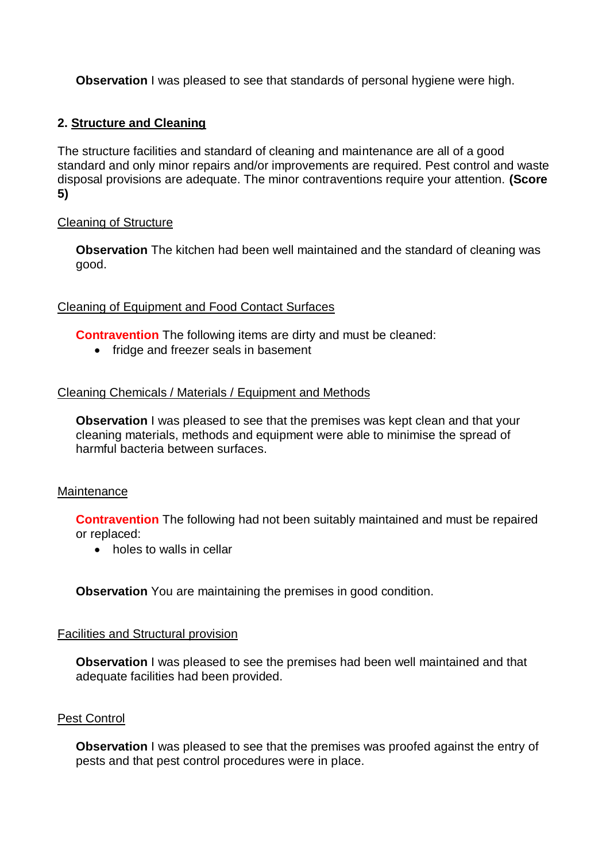**Observation** I was pleased to see that standards of personal hygiene were high.

# **2. Structure and Cleaning**

The structure facilities and standard of cleaning and maintenance are all of a good standard and only minor repairs and/or improvements are required. Pest control and waste disposal provisions are adequate. The minor contraventions require your attention. **(Score 5)** 

# Cleaning of Structure

**Observation** The kitchen had been well maintained and the standard of cleaning was good.

# Cleaning of Equipment and Food Contact Surfaces

**Contravention** The following items are dirty and must be cleaned:

• fridge and freezer seals in basement

# Cleaning Chemicals / Materials / Equipment and Methods

**Observation** I was pleased to see that the premises was kept clean and that your cleaning materials, methods and equipment were able to minimise the spread of harmful bacteria between surfaces.

# **Maintenance**

**Contravention** The following had not been suitably maintained and must be repaired or replaced:

• holes to walls in cellar

**Observation** You are maintaining the premises in good condition.

#### Facilities and Structural provision

**Observation** I was pleased to see the premises had been well maintained and that adequate facilities had been provided.

#### Pest Control

**Observation** I was pleased to see that the premises was proofed against the entry of pests and that pest control procedures were in place.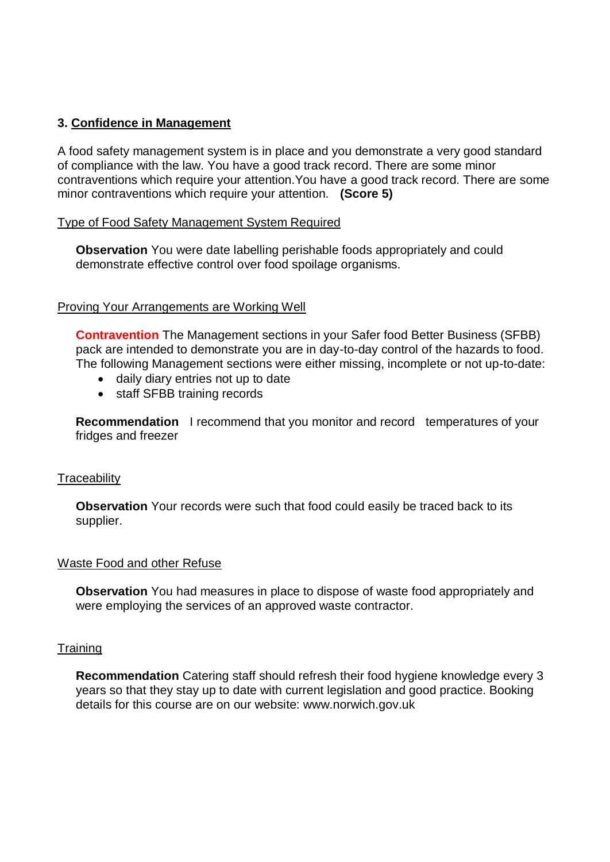# **3. Confidence in Management**

 of compliance with the law. You have a good track record. There are some minor A food safety management system is in place and you demonstrate a very good standard contraventions which require your attention.You have a good track record. There are some minor contraventions which require your attention. **(Score 5)** 

### Type of Food Safety Management System Required

**Observation** You were date labelling perishable foods appropriately and could demonstrate effective control over food spoilage organisms.

### **Proving Your Arrangements are Working Well**

 **Contravention** The Management sections in your Safer food Better Business (SFBB) pack are intended to demonstrate you are in day-to-day control of the hazards to food. The following Management sections were either missing, incomplete or not up-to-date:

- daily diary entries not up to date
- staff SFBB training records

 **Recommendation** I recommend that you monitor and record temperatures of your fridges and freezer

#### **Traceability**

**Observation** Your records were such that food could easily be traced back to its supplier.

#### Waste Food and other Refuse

**Observation** You had measures in place to dispose of waste food appropriately and were employing the services of an approved waste contractor.

#### **Training**

 years so that they stay up to date with current legislation and good practice. Booking **Recommendation** Catering staff should refresh their food hygiene knowledge every 3 details for this course are on our website:<www.norwich.gov.uk>